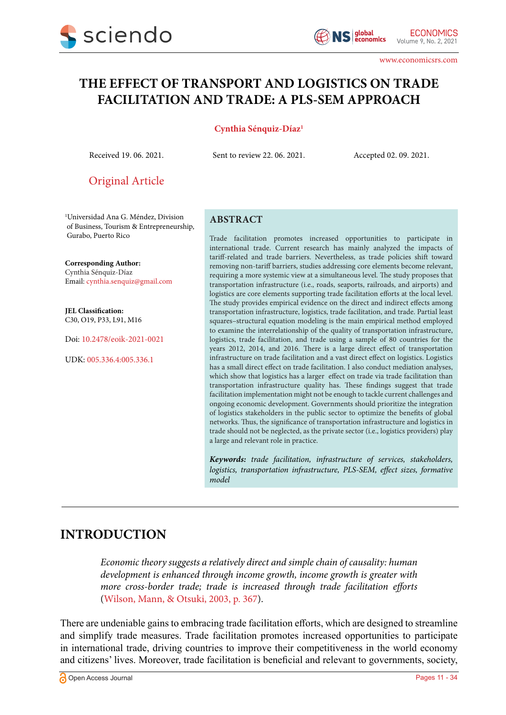

# **THE EFFECT OF TRANSPORT AND LOGISTICS ON TRADE FACILITATION AND TRADE: A PLS-SEM APPROACH**

#### **Cynthia Sénquiz-Díaz1**

Received 19. 06. 2021. Sent to review 22. 06. 2021. Accepted 02. 09. 2021.

Original Article

1 Universidad Ana G. Méndez, Division of Business, Tourism & Entrepreneurship, Gurabo, Puerto Rico

**Corresponding Author:** Cynthia Sénquiz-Díaz Email: cynthia.senquiz@gmail.com

**JEL Classification:** C30, O19, P33, L91, M16

Doi: 10.2478/eoik-2021-0021

UDK: 005.336.4:005.336.1

#### **ABSTRACT**

Trade facilitation promotes increased opportunities to participate in international trade. Current research has mainly analyzed the impacts of tariff-related and trade barriers. Nevertheless, as trade policies shift toward removing non-tariff barriers, studies addressing core elements become relevant, requiring a more systemic view at a simultaneous level. The study proposes that transportation infrastructure (i.e., roads, seaports, railroads, and airports) and logistics are core elements supporting trade facilitation efforts at the local level. The study provides empirical evidence on the direct and indirect effects among transportation infrastructure, logistics, trade facilitation, and trade. Partial least squares–structural equation modeling is the main empirical method employed to examine the interrelationship of the quality of transportation infrastructure, logistics, trade facilitation, and trade using a sample of 80 countries for the years 2012, 2014, and 2016. There is a large direct effect of transportation infrastructure on trade facilitation and a vast direct effect on logistics. Logistics has a small direct effect on trade facilitation. I also conduct mediation analyses, which show that logistics has a larger effect on trade via trade facilitation than transportation infrastructure quality has. These findings suggest that trade facilitation implementation might not be enough to tackle current challenges and ongoing economic development. Governments should prioritize the integration of logistics stakeholders in the public sector to optimize the benefits of global networks. Thus, the significance of transportation infrastructure and logistics in trade should not be neglected, as the private sector (i.e., logistics providers) play a large and relevant role in practice.

*Keywords: trade facilitation, infrastructure of services, stakeholders, logistics, transportation infrastructure, PLS-SEM, effect sizes, formative model*

## **INTRODUCTION**

*Economic theory suggests a relatively direct and simple chain of causality: human development is enhanced through income growth, income growth is greater with more cross-border trade; trade is increased through trade facilitation efforts* [\(Wilson, Mann, & Otsuki, 2003, p. 367](#page-21-0)).

There are undeniable gains to embracing trade facilitation efforts, which are designed to streamline and simplify trade measures. Trade facilitation promotes increased opportunities to participate in international trade, driving countries to improve their competitiveness in the world economy and citizens' lives. Moreover, trade facilitation is beneficial and relevant to governments, society,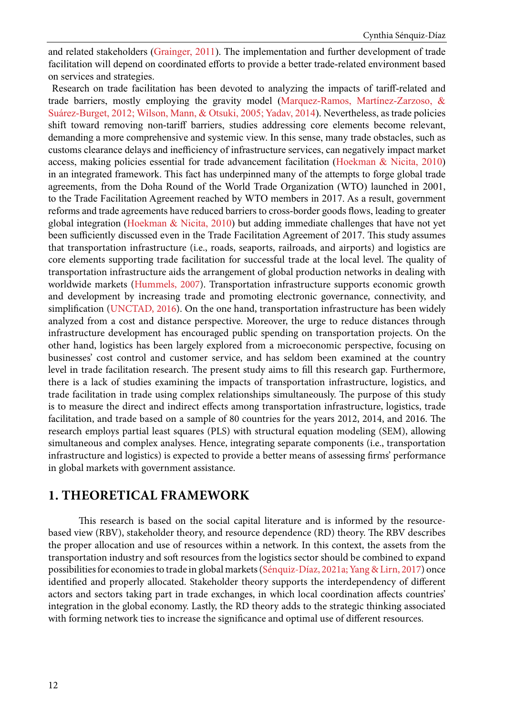and related stakeholders ([Grainger, 2011](#page-19-0)). The implementation and further development of trade facilitation will depend on coordinated efforts to provide a better trade-related environment based on services and strategies.

 Research on trade facilitation has been devoted to analyzing the impacts of tariff-related and trade barriers, mostly employing the gravity model ([Marquez-Ramos, Martínez-Zarzoso, &](#page-20-0) [Suárez-Burget, 2012; Wilson, Mann, & Otsuki, 2005; Yadav, 2014](#page-20-0)). Nevertheless, as trade policies shift toward removing non-tariff barriers, studies addressing core elements become relevant, demanding a more comprehensive and systemic view. In this sense, many trade obstacles, such as customs clearance delays and inefficiency of infrastructure services, can negatively impact market access, making policies essential for trade advancement facilitation ([Hoekman & Nicita, 2010](#page-19-0)) in an integrated framework. This fact has underpinned many of the attempts to forge global trade agreements, from the Doha Round of the World Trade Organization (WTO) launched in 2001, to the Trade Facilitation Agreement reached by WTO members in 2017. As a result, government reforms and trade agreements have reduced barriers to cross-border goods flows, leading to greater global integration ([Hoekman & Nicita, 2010](#page-19-0)) but adding immediate challenges that have not yet been sufficiently discussed even in the Trade Facilitation Agreement of 2017. This study assumes that transportation infrastructure (i.e., roads, seaports, railroads, and airports) and logistics are core elements supporting trade facilitation for successful trade at the local level. The quality of transportation infrastructure aids the arrangement of global production networks in dealing with worldwide markets [\(Hummels, 2007](#page-19-0)). Transportation infrastructure supports economic growth and development by increasing trade and promoting electronic governance, connectivity, and simplification ([UNCTAD, 2016](#page-21-0)). On the one hand, transportation infrastructure has been widely analyzed from a cost and distance perspective. Moreover, the urge to reduce distances through infrastructure development has encouraged public spending on transportation projects. On the other hand, logistics has been largely explored from a microeconomic perspective, focusing on businesses' cost control and customer service, and has seldom been examined at the country level in trade facilitation research. The present study aims to fill this research gap. Furthermore, there is a lack of studies examining the impacts of transportation infrastructure, logistics, and trade facilitation in trade using complex relationships simultaneously. The purpose of this study is to measure the direct and indirect effects among transportation infrastructure, logistics, trade facilitation, and trade based on a sample of 80 countries for the years 2012, 2014, and 2016. The research employs partial least squares (PLS) with structural equation modeling (SEM), allowing simultaneous and complex analyses. Hence, integrating separate components (i.e., transportation infrastructure and logistics) is expected to provide a better means of assessing firms' performance in global markets with government assistance.

### **1. THEORETICAL FRAMEWORK**

This research is based on the social capital literature and is informed by the resourcebased view (RBV), stakeholder theory, and resource dependence (RD) theory. The RBV describes the proper allocation and use of resources within a network. In this context, the assets from the transportation industry and soft resources from the logistics sector should be combined to expand possibilities for economies to trade in global markets [\(Sénquiz-Díaz, 2021a; Yang & Lirn, 2017\)](#page-21-0) once identified and properly allocated. Stakeholder theory supports the interdependency of different actors and sectors taking part in trade exchanges, in which local coordination affects countries' integration in the global economy. Lastly, the RD theory adds to the strategic thinking associated with forming network ties to increase the significance and optimal use of different resources.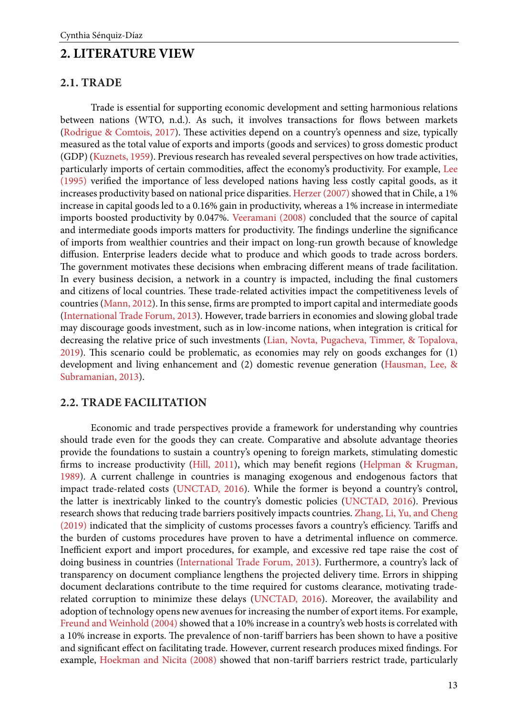## **2. LITERATURE VIEW**

#### **2.1. TRADE**

Trade is essential for supporting economic development and setting harmonious relations between nations (WTO, n.d.). As such, it involves transactions for flows between markets [\(Rodrigue & Comtois, 2017\)](#page-21-0). These activities depend on a country's openness and size, typically measured as the total value of exports and imports (goods and services) to gross domestic product (GDP) ([Kuznets, 1959](#page-20-0)). Previous research has revealed several perspectives on how trade activities, particularly imports of certain commodities, affect the economy's productivity. For example, Lee (1995) verified the importance of less developed nations having less costly capital goods, as it increases productivity based on national price disparities. [Herzer \(2007\)](#page-19-0) showed that in Chile, a 1% increase in capital goods led to a 0.16% gain in productivity, whereas a 1% increase in intermediate imports boosted productivity by 0.047%. [Veeramani \(2008\)](#page-22-0) concluded that the source of capital and intermediate goods imports matters for productivity. The findings underline the significance of imports from wealthier countries and their impact on long-run growth because of knowledge diffusion. Enterprise leaders decide what to produce and which goods to trade across borders. The government motivates these decisions when embracing different means of trade facilitation. In every business decision, a network in a country is impacted, including the final customers and citizens of local countries. These trade-related activities impact the competitiveness levels of countries [\(Mann, 2012\)](#page-20-0). In this sense, firms are prompted to import capital and intermediate goods [\(International Trade Forum, 2013\)](#page-19-0). However, trade barriers in economies and slowing global trade may discourage goods investment, such as in low-income nations, when integration is critical for decreasing the relative price of such investments [\(Lian, Novta, Pugacheva, Timmer, & Topalova,](#page-20-0)  [2019\)](#page-20-0). This scenario could be problematic, as economies may rely on goods exchanges for (1) development and living enhancement and (2) domestic revenue generation ([Hausman, Lee, &](#page-20-0)  [Subramanian, 2013](#page-20-0)).

#### **2.2. TRADE FACILITATION**

Economic and trade perspectives provide a framework for understanding why countries should trade even for the goods they can create. Comparative and absolute advantage theories provide the foundations to sustain a country's opening to foreign markets, stimulating domestic firms to increase productivity ([Hill, 2011](#page-20-0)), which may benefit regions [\(Helpman & Krugman,](#page-19-0)  [1989\)](#page-19-0). A current challenge in countries is managing exogenous and endogenous factors that impact trade-related costs ([UNCTAD, 2016\)](#page-22-0). While the former is beyond a country's control, the latter is inextricably linked to the country's domestic policies ([UNCTAD, 2016](#page-22-0)). Previous research shows that reducing trade barriers positively impacts countries. [Zhang, Li, Yu, and Cheng](#page-22-0)  [\(2019\)](#page-22-0) indicated that the simplicity of customs processes favors a country's efficiency. Tariffs and the burden of customs procedures have proven to have a detrimental influence on commerce. Inefficient export and import procedures, for example, and excessive red tape raise the cost of doing business in countries ([International Trade Forum, 2013](#page-19-0)). Furthermore, a country's lack of transparency on document compliance lengthens the projected delivery time. Errors in shipping document declarations contribute to the time required for customs clearance, motivating traderelated corruption to minimize these delays ([UNCTAD, 2016](#page-22-0)). Moreover, the availability and adoption of technology opens new avenues for increasing the number of export items. For example, [Freund and Weinhold \(2004\)](#page-19-0) showed that a 10% increase in a country's web hosts is correlated with a 10% increase in exports. The prevalence of non-tariff barriers has been shown to have a positive and significant effect on facilitating trade. However, current research produces mixed findings. For example, [Hoekman and Nicita \(2008\)](#page-20-0) showed that non-tariff barriers restrict trade, particularly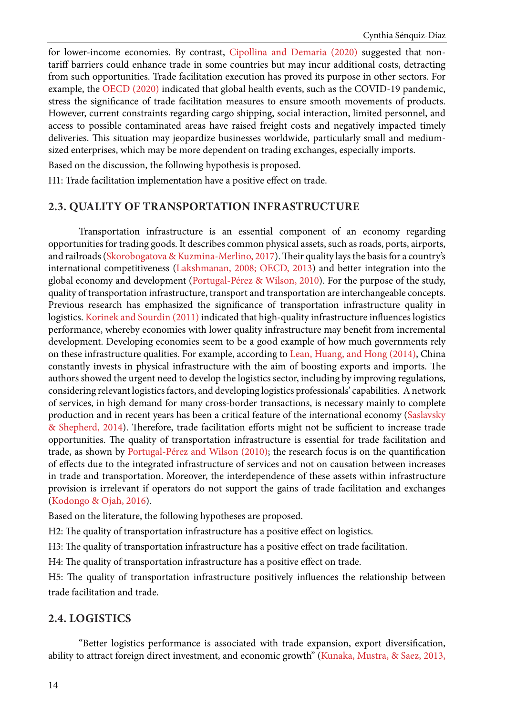for lower-income economies. By contrast, [Cipollina and Demaria \(2020\) s](#page-19-0)uggested that nontariff barriers could enhance trade in some countries but may incur additional costs, detracting from such opportunities. Trade facilitation execution has proved its purpose in other sectors. For example, the [OECD \(2020\)](#page-21-0) indicated that global health events, such as the COVID-19 pandemic, stress the significance of trade facilitation measures to ensure smooth movements of products. However, current constraints regarding cargo shipping, social interaction, limited personnel, and access to possible contaminated areas have raised freight costs and negatively impacted timely deliveries. This situation may jeopardize businesses worldwide, particularly small and mediumsized enterprises, which may be more dependent on trading exchanges, especially imports.

Based on the discussion, the following hypothesis is proposed.

H1: Trade facilitation implementation have a positive effect on trade.

### **2.3. QUALITY OF TRANSPORTATION INFRASTRUCTURE**

Transportation infrastructure is an essential component of an economy regarding opportunities for trading goods. It describes common physical assets, such as roads, ports, airports, and railroads [\(Skorobogatova & Kuzmina-Merlino, 2017](#page-21-0)). Their quality lays the basis for a country's international competitiveness ([Lakshmanan, 2008; OECD, 2013](#page-20-0)) and better integration into the global economy and development [\(Portugal-Pérez & Wilson, 2010](#page-21-0)). For the purpose of the study, quality of transportation infrastructure, transport and transportation are interchangeable concepts. Previous research has emphasized the significance of transportation infrastructure quality in logistics. [Korinek and Sourdin \(2011\)](#page-20-0) indicated that high-quality infrastructure influences logistics performance, whereby economies with lower quality infrastructure may benefit from incremental development. Developing economies seem to be a good example of how much governments rely on these infrastructure qualities. For example, according to [Lean, Huang, and Hong \(2014\),](#page-20-0) China constantly invests in physical infrastructure with the aim of boosting exports and imports. The authors showed the urgent need to develop the logistics sector, including by improving regulations, considering relevant logistics factors, and developing logistics professionals' capabilities. A network of services, in high demand for many cross-border transactions, is necessary mainly to complete production and in recent years has been a critical feature of the international economy ([Saslavsky](#page-21-0) [& Shepherd, 2014](#page-21-0)). Therefore, trade facilitation efforts might not be sufficient to increase trade opportunities. The quality of transportation infrastructure is essential for trade facilitation and trade, as shown by [Portugal-Pérez and Wilson \(2010\)](#page-21-0); the research focus is on the quantification of effects due to the integrated infrastructure of services and not on causation between increases in trade and transportation. Moreover, the interdependence of these assets within infrastructure provision is irrelevant if operators do not support the gains of trade facilitation and exchanges ([Kodongo & Ojah, 2016\)](#page-20-0).

Based on the literature, the following hypotheses are proposed.

H2: The quality of transportation infrastructure has a positive effect on logistics.

H3: The quality of transportation infrastructure has a positive effect on trade facilitation.

H4: The quality of transportation infrastructure has a positive effect on trade.

H5: The quality of transportation infrastructure positively influences the relationship between trade facilitation and trade.

### **2.4. LOGISTICS**

"Better logistics performance is associated with trade expansion, export diversification, ability to attract foreign direct investment, and economic growth" ([Kunaka, Mustra, & Saez, 2013,](#page-20-0)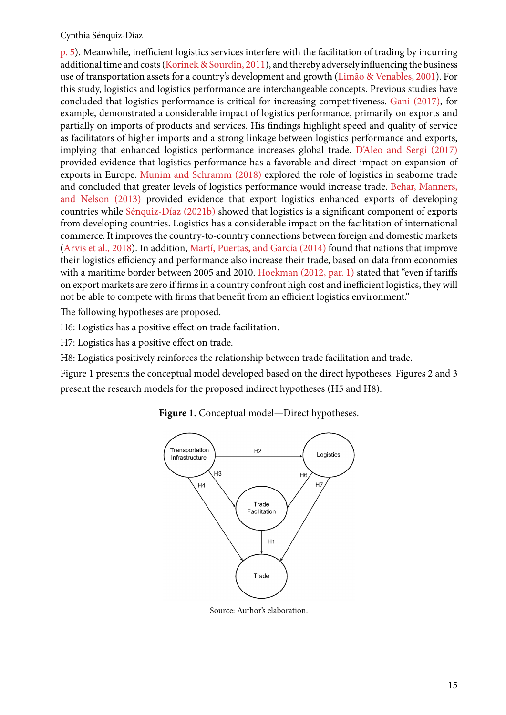[p. 5](#page-20-0)). Meanwhile, inefficient logistics services interfere with the facilitation of trading by incurring additional time and costs ([Korinek & Sourdin, 2011](#page-20-0)), and thereby adversely influencing the business use of transportation assets for a country's development and growth ([Limão & Venables, 2001\)](#page-20-0). For this study, logistics and logistics performance are interchangeable concepts. Previous studies have concluded that logistics performance is critical for increasing competitiveness. [Gani \(2017\),](#page-19-0) for example, demonstrated a considerable impact of logistics performance, primarily on exports and partially on imports of products and services. His findings highlight speed and quality of service as facilitators of higher imports and a strong linkage between logistics performance and exports, implying that enhanced logistics performance increases global trade. [D'Aleo and Sergi \(2017\)](#page-19-0) provided evidence that logistics performance has a favorable and direct impact on expansion of exports in Europe. [Munim and Schramm \(2018\)](#page-21-0) explored the role of logistics in seaborne trade and concluded that greater levels of logistics performance would increase trade. [Behar, Manners,](#page-19-0)  [and Nelson \(2013\)](#page-19-0) provided evidence that export logistics enhanced exports of developing countries while [Sénquiz-Díaz \(2021b\) s](#page-21-0)howed that logistics is a significant component of exports from developing countries. Logistics has a considerable impact on the facilitation of international commerce. It improves the country-to-country connections between foreign and domestic markets [\(Arvis et al., 2018\)](#page-19-0). In addition, [Martí, Puertas, and García \(2014\)](#page-21-0) found that nations that improve their logistics efficiency and performance also increase their trade, based on data from economies with a maritime border between 2005 and 2010. [Hoekman \(2012, par. 1\)](#page-20-0) stated that "even if tariffs on export markets are zero if firms in a country confront high cost and inefficient logistics, they will not be able to compete with firms that benefit from an efficient logistics environment."

The following hypotheses are proposed.

H6: Logistics has a positive effect on trade facilitation.

H7: Logistics has a positive effect on trade.

H8: Logistics positively reinforces the relationship between trade facilitation and trade.

Figure 1 presents the conceptual model developed based on the direct hypotheses. Figures 2 and 3 present the research models for the proposed indirect hypotheses (H5 and H8).



**Figure 1.** Conceptual model—Direct hypotheses.

Source: Author's elaboration.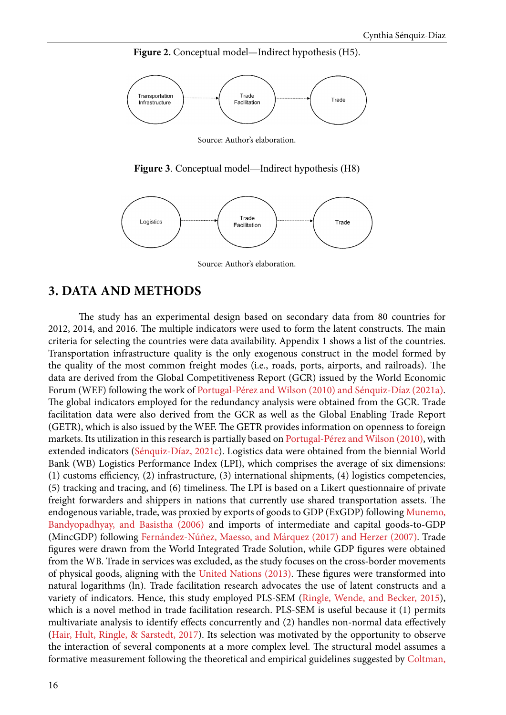Figure 2. Conceptual model—Indirect hypothesis (H5).



Source: Author's elaboration.

**Figure 3**. Conceptual model—Indirect hypothesis (H8)



Source: Author's elaboration.

### **3. DATA AND METHODS**

The study has an experimental design based on secondary data from 80 countries for 2012, 2014, and 2016. The multiple indicators were used to form the latent constructs. The main criteria for selecting the countries were data availability. Appendix 1 shows a list of the countries. Transportation infrastructure quality is the only exogenous construct in the model formed by the quality of the most common freight modes (i.e., roads, ports, airports, and railroads). The data are derived from the Global Competitiveness Report (GCR) issued by the World Economic Forum (WEF) following the work of [Portugal-Pérez and Wilson \(2010\) and Sénquiz-Díaz \(2021a\).](#page-21-0) The global indicators employed for the redundancy analysis were obtained from the GCR. Trade facilitation data were also derived from the GCR as well as the Global Enabling Trade Report (GETR), which is also issued by the WEF. The GETR provides information on openness to foreign markets. Its utilization in this research is partially based on [Portugal-Pérez and Wilson \(2010\),](#page-21-0) with extended indicators ([Sénquiz-Díaz, 2021c](#page-21-0)). Logistics data were obtained from the biennial World Bank (WB) Logistics Performance Index (LPI), which comprises the average of six dimensions: (1) customs efficiency, (2) infrastructure, (3) international shipments, (4) logistics competencies, (5) tracking and tracing, and (6) timeliness. The LPI is based on a Likert questionnaire of private freight forwarders and shippers in nations that currently use shared transportation assets. The endogenous variable, trade, was proxied by exports of goods to GDP (ExGDP) following [Munemo,](#page-21-0) [Bandyopadhyay, and Basistha \(2006\) a](#page-21-0)nd imports of intermediate and capital goods-to-GDP (MincGDP) following [Fernández-Núñez, Maesso, and Márquez \(2017\) and Herzer \(2007\).](#page-19-0) Trade figures were drawn from the World Integrated Trade Solution, while GDP figures were obtained from the WB. Trade in services was excluded, as the study focuses on the cross-border movements of physical goods, aligning with the [United Nations \(2013\).](#page-21-0) These figures were transformed into natural logarithms (ln). Trade facilitation research advocates the use of latent constructs and a variety of indicators. Hence, this study employed PLS-SEM ([Ringle, Wende, and Becker, 2015\)](#page-21-0), which is a novel method in trade facilitation research. PLS-SEM is useful because it (1) permits multivariate analysis to identify effects concurrently and (2) handles non-normal data effectively ([Hair, Hult, Ringle, & Sarstedt, 2017](#page-19-0)). Its selection was motivated by the opportunity to observe the interaction of several components at a more complex level. The structural model assumes a formative measurement following the theoretical and empirical guidelines suggested by [Coltman,](#page-19-0)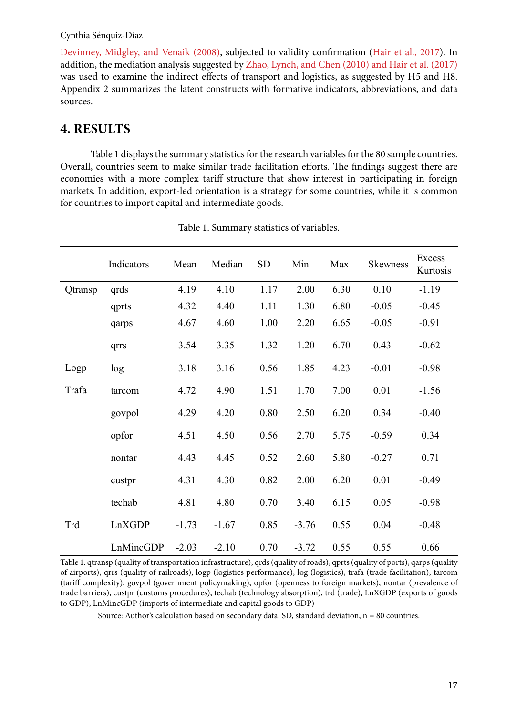[Devinney, Midgley, and Venaik \(2008\),](#page-19-0) subjected to validity confirmation ([Hair et al., 2017](#page-19-0)). In addition, the mediation analysis suggested by [Zhao, Lynch, and Chen \(2010\) and Hair et al. \(2017\)](#page-19-0) was used to examine the indirect effects of transport and logistics, as suggested by H5 and H8. Appendix 2 summarizes the latent constructs with formative indicators, abbreviations, and data sources.

# **4. RESULTS**

Table 1 displays the summary statistics for the research variables for the 80 sample countries. Overall, countries seem to make similar trade facilitation efforts. The findings suggest there are economies with a more complex tariff structure that show interest in participating in foreign markets. In addition, export-led orientation is a strategy for some countries, while it is common for countries to import capital and intermediate goods.

|         | Indicators | Mean    | Median  | <b>SD</b> | Min     | Max  | <b>Skewness</b> | Excess<br>Kurtosis |
|---------|------------|---------|---------|-----------|---------|------|-----------------|--------------------|
| Qtransp | qrds       | 4.19    | 4.10    | 1.17      | 2.00    | 6.30 | 0.10            | $-1.19$            |
|         | qprts      | 4.32    | 4.40    | 1.11      | 1.30    | 6.80 | $-0.05$         | $-0.45$            |
|         | qarps      | 4.67    | 4.60    | 1.00      | 2.20    | 6.65 | $-0.05$         | $-0.91$            |
|         | qrrs       | 3.54    | 3.35    | 1.32      | 1.20    | 6.70 | 0.43            | $-0.62$            |
| Logp    | log        | 3.18    | 3.16    | 0.56      | 1.85    | 4.23 | $-0.01$         | $-0.98$            |
| Trafa   | tarcom     | 4.72    | 4.90    | 1.51      | 1.70    | 7.00 | 0.01            | $-1.56$            |
|         | govpol     | 4.29    | 4.20    | 0.80      | 2.50    | 6.20 | 0.34            | $-0.40$            |
|         | opfor      | 4.51    | 4.50    | 0.56      | 2.70    | 5.75 | $-0.59$         | 0.34               |
|         | nontar     | 4.43    | 4.45    | 0.52      | 2.60    | 5.80 | $-0.27$         | 0.71               |
|         | custpr     | 4.31    | 4.30    | 0.82      | 2.00    | 6.20 | 0.01            | $-0.49$            |
|         | techab     | 4.81    | 4.80    | 0.70      | 3.40    | 6.15 | 0.05            | $-0.98$            |
| Trd     | LnXGDP     | $-1.73$ | $-1.67$ | 0.85      | $-3.76$ | 0.55 | 0.04            | $-0.48$            |
|         | LnMincGDP  | $-2.03$ | $-2.10$ | 0.70      | $-3.72$ | 0.55 | 0.55            | 0.66               |

Table 1. Summary statistics of variables.

Table 1. qtransp (quality of transportation infrastructure), qrds (quality of roads), qprts (quality of ports), qarps (quality of airports), qrrs (quality of railroads), logp (logistics performance), log (logistics), trafa (trade facilitation), tarcom (tariff complexity), govpol (government policymaking), opfor (openness to foreign markets), nontar (prevalence of trade barriers), custpr (customs procedures), techab (technology absorption), trd (trade), LnXGDP (exports of goods to GDP), LnMincGDP (imports of intermediate and capital goods to GDP)

Source: Author's calculation based on secondary data. SD, standard deviation, n = 80 countries.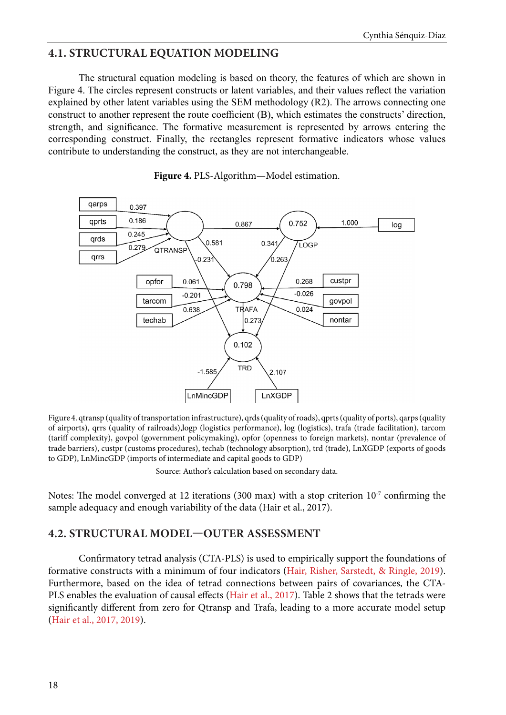## **4.1. STRUCTURAL EQUATION MODELING**

The structural equation modeling is based on theory, the features of which are shown in Figure 4. The circles represent constructs or latent variables, and their values reflect the variation explained by other latent variables using the SEM methodology (R2). The arrows connecting one construct to another represent the route coefficient (B), which estimates the constructs' direction, strength, and significance. The formative measurement is represented by arrows entering the corresponding construct. Finally, the rectangles represent formative indicators whose values contribute to understanding the construct, as they are not interchangeable.



**Figure 4.** PLS-Algorithm—Model estimation.

Figure 4. qtransp (quality of transportation infrastructure), qrds (quality of roads), qprts (quality of ports), qarps (quality of airports), qrrs (quality of railroads),logp (logistics performance), log (logistics), trafa (trade facilitation), tarcom (tariff complexity), govpol (government policymaking), opfor (openness to foreign markets), nontar (prevalence of trade barriers), custpr (customs procedures), techab (technology absorption), trd (trade), LnXGDP (exports of goods to GDP), LnMincGDP (imports of intermediate and capital goods to GDP)

Source: Author's calculation based on secondary data.

Notes: The model converged at 12 iterations (300 max) with a stop criterion  $10^{-7}$  confirming the sample adequacy and enough variability of the data (Hair et al., 2017).

### **4.2. STRUCTURAL MODEL—OUTER ASSESSMENT**

Confirmatory tetrad analysis (CTA-PLS) is used to empirically support the foundations of formative constructs with a minimum of four indicators [\(Hair, Risher, Sarstedt, & Ringle, 2019\)](#page-19-0). Furthermore, based on the idea of tetrad connections between pairs of covariances, the CTA-PLS enables the evaluation of causal effects [\(Hair et al., 2017](#page-19-0)). Table 2 shows that the tetrads were significantly different from zero for Qtransp and Trafa, leading to a more accurate model setup ([Hair et al., 2017, 2019\)](#page-19-0).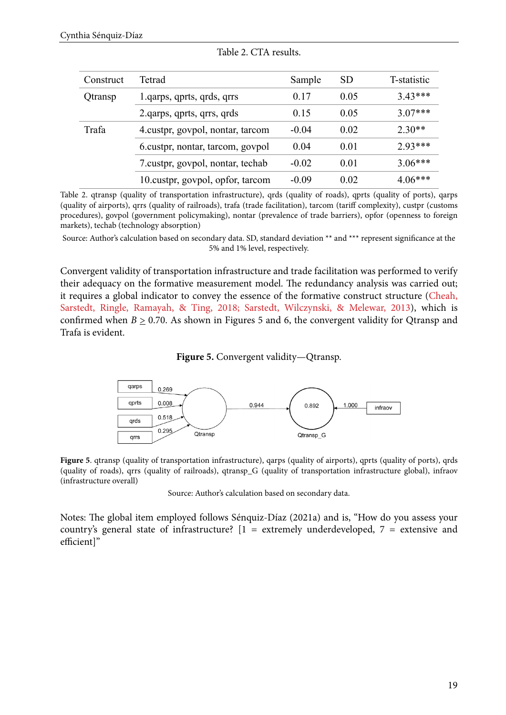| Construct | Tetrad                            | Sample  | <b>SD</b> | T-statistic |
|-----------|-----------------------------------|---------|-----------|-------------|
| Qtransp   | 1. qarps, qprts, qrds, qrrs       | 0.17    | 0.05      | $3.43***$   |
|           | 2. qarps, qprts, qrrs, qrds       | 0.15    | 0.05      | $3.07***$   |
| Trafa     | 4. custpr, govpol, nontar, tarcom | $-0.04$ | 0.02      | $2.30**$    |
|           | 6. custpr, nontar, tarcom, govpol | 0.04    | 0.01      | $2.93***$   |
|           | 7. custpr, govpol, nontar, techab | $-0.02$ | 0.01      | $3.06***$   |
|           | 10. custpr, govpol, opfor, tarcom | $-0.09$ | 0.02      | $4.06***$   |

| Table 2. CTA results. |  |
|-----------------------|--|
|-----------------------|--|

Table 2. qtransp (quality of transportation infrastructure), qrds (quality of roads), qprts (quality of ports), qarps (quality of airports), qrrs (quality of railroads), trafa (trade facilitation), tarcom (tariff complexity), custpr (customs procedures), govpol (government policymaking), nontar (prevalence of trade barriers), opfor (openness to foreign markets), techab (technology absorption)

Source: Author's calculation based on secondary data. SD, standard deviation \*\* and \*\*\* represent significance at the 5% and 1% level, respectively.

Convergent validity of transportation infrastructure and trade facilitation was performed to verify their adequacy on the formative measurement model. The redundancy analysis was carried out; it requires a global indicator to convey the essence of the formative construct structure ([Cheah,](#page-19-0)  [Sarstedt, Ringle, Ramayah, & Ting, 2018; Sarstedt, Wilczynski, & Melewar, 2013](#page-19-0)), which is confirmed when  $B \ge 0.70$ . As shown in Figures 5 and 6, the convergent validity for Qtransp and Trafa is evident.

#### **Figure 5.** Convergent validity—Qtransp.



Figure 5. qtransp (quality of transportation infrastructure), qarps (quality of airports), qprts (quality of ports), qrds (quality of roads), qrrs (quality of railroads), qtransp\_G (quality of transportation infrastructure global), infraov (infrastructure overall)

Source: Author's calculation based on secondary data.

Notes: The global item employed follows Sénquiz-Díaz (2021a) and is, "How do you assess your country's general state of infrastructure? [1 = extremely underdeveloped, 7 = extensive and efficient]"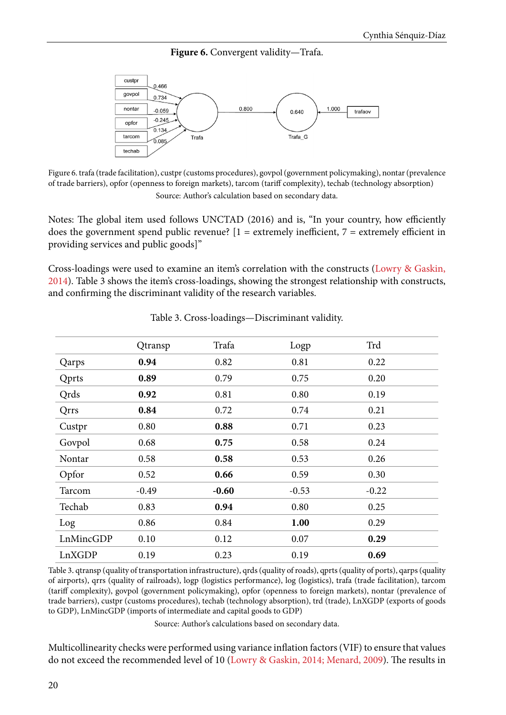Figure 6. Convergent validity—Trafa.



Figure 6. trafa (trade facilitation), custpr (customs procedures), govpol (government policymaking), nontar (prevalence of trade barriers), opfor (openness to foreign markets), tarcom (tariff complexity), techab (technology absorption) Source: Author's calculation based on secondary data.

Notes: The global item used follows UNCTAD (2016) and is, "In your country, how efficiently does the government spend public revenue?  $[1 =$  extremely inefficient,  $7 =$  extremely efficient in providing services and public goods]"

Cross-loadings were used to examine an item's correlation with the constructs ([Lowry & Gaskin,](#page-20-0) [2014\)](#page-20-0). Table 3 shows the item's cross-loadings, showing the strongest relationship with constructs, and confirming the discriminant validity of the research variables.

|           | Qtransp | Trafa   | Logp    | Trd     |  |
|-----------|---------|---------|---------|---------|--|
| Qarps     | 0.94    | 0.82    | 0.81    | 0.22    |  |
| Qprts     | 0.89    | 0.79    | 0.75    | 0.20    |  |
| Qrds      | 0.92    | 0.81    | 0.80    | 0.19    |  |
| Qrrs      | 0.84    | 0.72    | 0.74    | 0.21    |  |
| Custpr    | 0.80    | 0.88    | 0.71    | 0.23    |  |
| Govpol    | 0.68    | 0.75    | 0.58    | 0.24    |  |
| Nontar    | 0.58    | 0.58    | 0.53    | 0.26    |  |
| Opfor     | 0.52    | 0.66    | 0.59    | 0.30    |  |
| Tarcom    | $-0.49$ | $-0.60$ | $-0.53$ | $-0.22$ |  |
| Techab    | 0.83    | 0.94    | 0.80    | 0.25    |  |
| Log       | 0.86    | 0.84    | 1.00    | 0.29    |  |
| LnMincGDP | 0.10    | 0.12    | 0.07    | 0.29    |  |
| LnXGDP    | 0.19    | 0.23    | 0.19    | 0.69    |  |

|  | Table 3. Cross-loadings-Discriminant validity. |  |  |
|--|------------------------------------------------|--|--|
|--|------------------------------------------------|--|--|

Table 3. qtransp (quality of transportation infrastructure), qrds (quality of roads), qprts (quality of ports), qarps (quality of airports), qrrs (quality of railroads), logp (logistics performance), log (logistics), trafa (trade facilitation), tarcom (tariff complexity), govpol (government policymaking), opfor (openness to foreign markets), nontar (prevalence of trade barriers), custpr (customs procedures), techab (technology absorption), trd (trade), LnXGDP (exports of goods to GDP), LnMincGDP (imports of intermediate and capital goods to GDP)

Source: Author's calculations based on secondary data.

Multicollinearity checks were performed using variance inflation factors (VIF) to ensure that values do not exceed the recommended level of 10 [\(Lowry & Gaskin, 2014; Menard, 2009\)](#page-20-0). The results in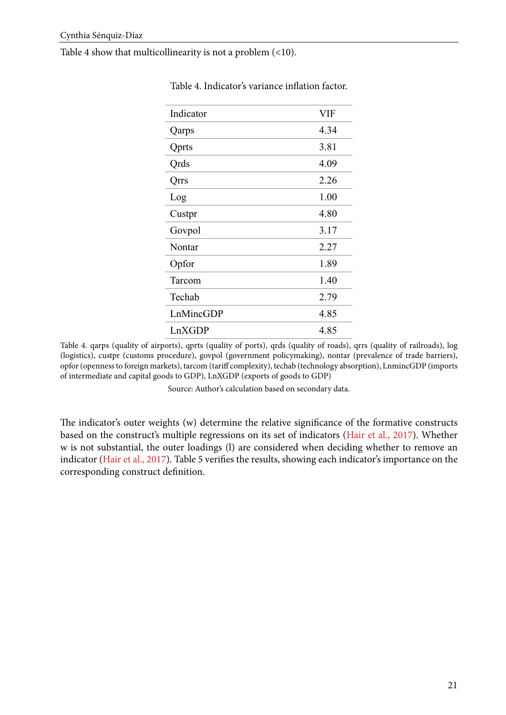Table 4 show that multicollinearity is not a problem (<10).

| Indicator    | <b>VIF</b> |
|--------------|------------|
| Qarps        | 4.34       |
| <b>Qprts</b> | 3.81       |
| Qrds         | 4.09       |
| Qrrs         | 2.26       |
| Log          | 1.00       |
| Custpr       | 4.80       |
| Govpol       | 3.17       |
| Nontar       | 2.27       |
| Opfor        | 1.89       |
| Tarcom       | 1.40       |
| Techab       | 2.79       |
| LnMincGDP    | 4.85       |
| LnXGDP       | 4.85       |

Table 4. Indicator's variance inflation factor.

Table 4. qarps (quality of airports), qprts (quality of ports), qrds (quality of roads), qrrs (quality of railroads), log (logistics), custpr (customs procedure), govpol (government policymaking), nontar (prevalence of trade barriers), opfor (openness to foreign markets), tarcom (tariff complexity), techab (technology absorption), LnmincGDP (imports of intermediate and capital goods to GDP), LnXGDP (exports of goods to GDP)

Source: Author's calculation based on secondary data.

The indicator's outer weights (w) determine the relative significance of the formative constructs based on the construct's multiple regressions on its set of indicators ([Hair et al., 2017\)](#page-19-0). Whether w is not substantial, the outer loadings (l) are considered when deciding whether to remove an indicator ([Hair et al., 2017\)](#page-19-0). Table 5 verifies the results, showing each indicator's importance on the corresponding construct definition.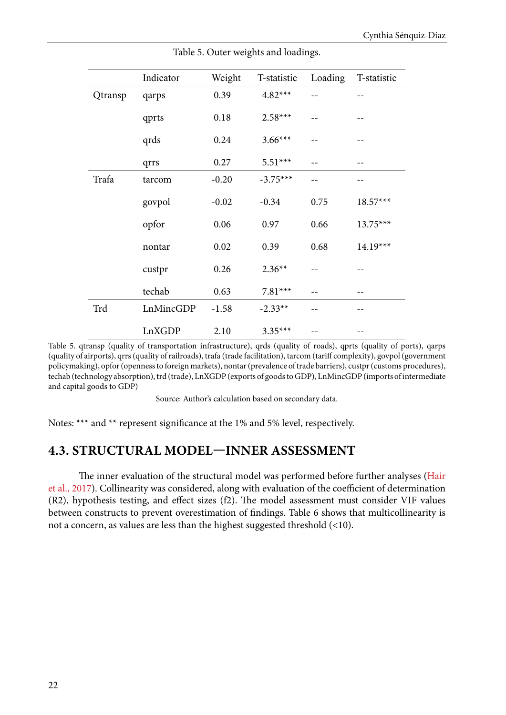|         | Indicator | Weight  | T-statistic | Loading | T-statistic |
|---------|-----------|---------|-------------|---------|-------------|
| Qtransp | qarps     | 0.39    | $4.82***$   | $- -$   |             |
|         | qprts     | 0.18    | $2.58***$   | $-$     |             |
|         | qrds      | 0.24    | $3.66***$   | --      |             |
|         | qrrs      | 0.27    | $5.51***$   | $- -$   | $- -$       |
| Trafa   | tarcom    | $-0.20$ | $-3.75***$  | --      |             |
|         | govpol    | $-0.02$ | $-0.34$     | 0.75    | $18.57***$  |
|         | opfor     | 0.06    | 0.97        | 0.66    | $13.75***$  |
|         | nontar    | 0.02    | 0.39        | 0.68    | $14.19***$  |
|         | custpr    | 0.26    | $2.36**$    | --      |             |
|         | techab    | 0.63    | $7.81***$   | $- -$   | --          |
| Trd     | LnMincGDP | $-1.58$ | $-2.33**$   |         |             |
|         | LnXGDP    | 2.10    | $3.35***$   |         |             |

Table 5. Outer weights and loadings.

Table 5. qtransp (quality of transportation infrastructure), qrds (quality of roads), qprts (quality of ports), qarps (quality of airports), qrrs (quality of railroads), trafa (trade facilitation), tarcom (tariff complexity), govpol (government policymaking), opfor (openness to foreign markets), nontar (prevalence of trade barriers), custpr (customs procedures), techab (technology absorption), trd (trade), LnXGDP (exports of goods to GDP), LnMincGDP (imports of intermediate and capital goods to GDP)

Source: Author's calculation based on secondary data.

Notes: \*\*\* and \*\* represent significance at the 1% and 5% level, respectively.

# **4.3. STRUCTURAL MODEL—INNER ASSESSMENT**

The inner evaluation of the structural model was performed before further analyses ([Hair](#page-19-0) [et al., 2017\)](#page-19-0). Collinearity was considered, along with evaluation of the coefficient of determination (R2), hypothesis testing, and effect sizes (f2). The model assessment must consider VIF values between constructs to prevent overestimation of findings. Table 6 shows that multicollinearity is not a concern, as values are less than the highest suggested threshold (<10).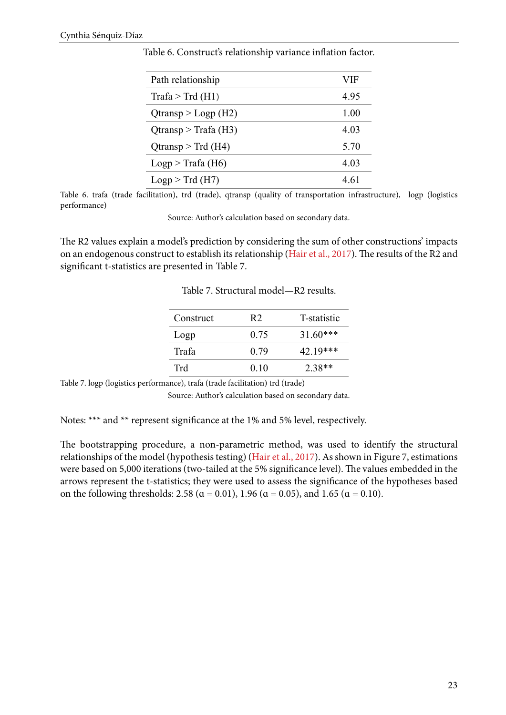| Path relationship                | VIF  |
|----------------------------------|------|
| $\text{Trafa} > \text{Trd (H1)}$ | 4.95 |
| $Q$ transp > Logp (H2)           | 1.00 |
| $Q$ transp > Trafa (H3)          | 4.03 |
| $Q$ transp > Trd (H4)            | 5.70 |
| Logp > Trafa (H6)                | 4.03 |
| Logp > Trd(H7)                   | 4.61 |

Table 6. Construct's relationship variance inflation factor.

Table 6. trafa (trade facilitation), trd (trade), qtransp (quality of transportation infrastructure), logp (logistics performance)

Source: Author's calculation based on secondary data.

The R2 values explain a model's prediction by considering the sum of other constructions' impacts on an endogenous construct to establish its relationship [\(Hair et al., 2017](#page-19-0)). The results of the R2 and significant t-statistics are presented in Table 7.

Table 7. Structural model—R2 results.

| T-statistic<br>R <sub>2</sub> |
|-------------------------------|
| $31.60***$<br>0.75            |
| 42.19***<br>0.79              |
| $2.38**$<br>0.10              |
|                               |

Table 7. logp (logistics performance), trafa (trade facilitation) trd (trade)

Source: Author's calculation based on secondary data.

Notes: \*\*\* and \*\* represent significance at the 1% and 5% level, respectively.

The bootstrapping procedure, a non-parametric method, was used to identify the structural relationships of the model (hypothesis testing) [\(Hair et al., 2017](#page-19-0)). As shown in Figure 7, estimations were based on 5,000 iterations (two-tailed at the 5% significance level). The values embedded in the arrows represent the t-statistics; they were used to assess the significance of the hypotheses based on the following thresholds: 2.58 ( $\alpha$  = 0.01), 1.96 ( $\alpha$  = 0.05), and 1.65 ( $\alpha$  = 0.10).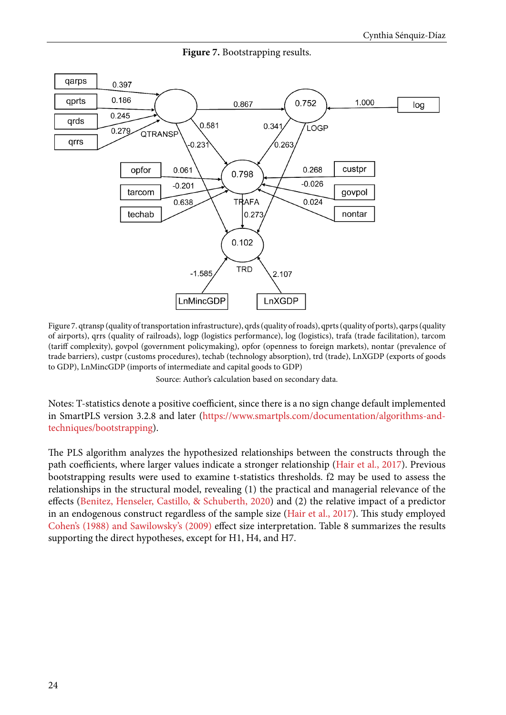

**Figure 7.** Bootstrapping results.

Figure 7. qtransp (quality of transportation infrastructure), qrds (quality of roads), qprts (quality of ports), qarps (quality of airports), qrrs (quality of railroads), logp (logistics performance), log (logistics), trafa (trade facilitation), tarcom (tariff complexity), govpol (government policymaking), opfor (openness to foreign markets), nontar (prevalence of trade barriers), custpr (customs procedures), techab (technology absorption), trd (trade), LnXGDP (exports of goods to GDP), LnMincGDP (imports of intermediate and capital goods to GDP)

Source: Author's calculation based on secondary data.

Notes: T-statistics denote a positive coefficient, since there is a no sign change default implemented in SmartPLS version 3.2.8 and later [\(https://www.smartpls.com/documentation/algorithms-and](https://www.smartpls.com/documentation/algorithms-and-techniques/bootstrapping)[techniques/bootstrapping\)](https://www.smartpls.com/documentation/algorithms-and-techniques/bootstrapping).

The PLS algorithm analyzes the hypothesized relationships between the constructs through the path coefficients, where larger values indicate a stronger relationship [\(Hair et al., 2017\)](#page-19-0). Previous bootstrapping results were used to examine t-statistics thresholds. f2 may be used to assess the relationships in the structural model, revealing (1) the practical and managerial relevance of the effects [\(Benitez, Henseler, Castillo, & Schuberth, 2020\)](#page-19-0) and (2) the relative impact of a predictor in an endogenous construct regardless of the sample size ([Hair et al., 2017\)](#page-19-0). This study employed [Cohen's \(1988\)](#page-19-0) and [Sawilowsky's \(2009\)](#page-21-0) effect size interpretation. Table 8 summarizes the results supporting the direct hypotheses, except for H1, H4, and H7.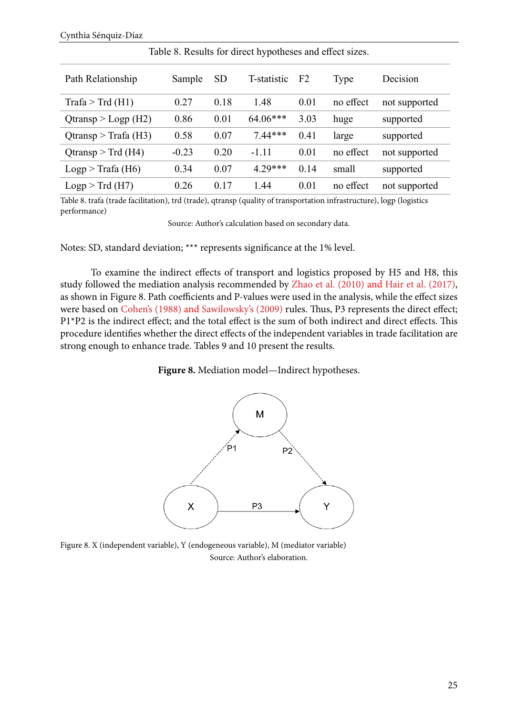| Path Relationship               | Sample  | <b>SD</b> | T-statistic | F <sub>2</sub> | Type      | Decision      |
|---------------------------------|---------|-----------|-------------|----------------|-----------|---------------|
| $\text{Trafa} > \text{Trd(H1)}$ | 0.27    | 0.18      | 1.48        | 0.01           | no effect | not supported |
| $Q$ transp > Logp (H2)          | 0.86    | 0.01      | $64.06***$  | 3.03           | huge      | supported     |
| $Q$ transp > Trafa (H3)         | 0.58    | 0.07      | $7.44***$   | 0.41           | large     | supported     |
| Qtransp $>$ Trd (H4)            | $-0.23$ | 0.20      | $-1.11$     | 0.01           | no effect | not supported |
| Logp > Trafa (H6)               | 0.34    | 0.07      | $4.29***$   | 0.14           | small     | supported     |
| Logp > Trd(H7)                  | 0.26    | 0.17      | 1.44        | 0.01           | no effect | not supported |

Table 8. Results for direct hypotheses and effect sizes.

Table 8. trafa (trade facilitation), trd (trade), qtransp (quality of transportation infrastructure), logp (logistics performance)

Source: Author's calculation based on secondary data.

Notes: SD, standard deviation; \*\*\* represents significance at the 1% level.

To examine the indirect effects of transport and logistics proposed by H5 and H8, this study followed the mediation analysis recommended by [Zhao et al. \(2010\)](#page-22-0) and [Hair et al. \(2017\),](#page-19-0) as shown in Figure 8. Path coefficients and P-values were used in the analysis, while the effect sizes were based on [Cohen's \(1988\)](#page-19-0) and [Sawilowsky's \(2009\)](#page-21-0) rules. Thus, P3 represents the direct effect; P1\*P2 is the indirect effect; and the total effect is the sum of both indirect and direct effects. This procedure identifies whether the direct effects of the independent variables in trade facilitation are strong enough to enhance trade. Tables 9 and 10 present the results.





Figure 8. X (independent variable), Y (endogeneous variable), M (mediator variable) Source: Author's elaboration.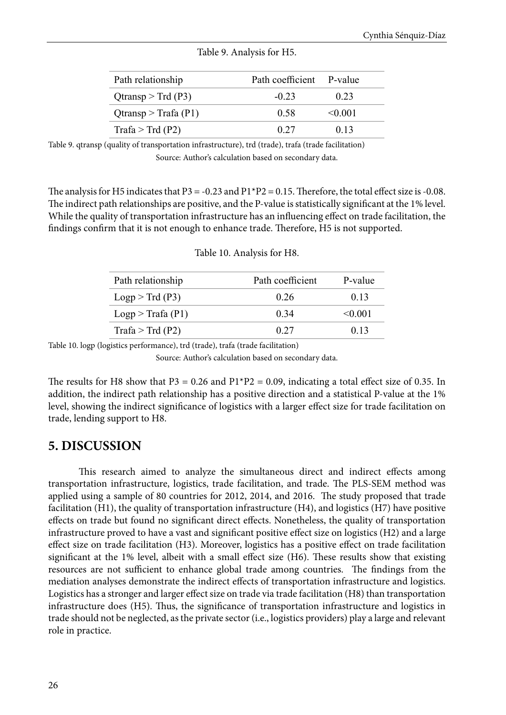| Path relationship       | Path coefficient P-value |         |  |
|-------------------------|--------------------------|---------|--|
| $Q$ transp > Trd (P3)   | $-0.23$                  | 0.23    |  |
| $Q$ transp > Trafa (P1) | 0.58                     | < 0.001 |  |
| Trafa > Trd $(P2)$      | 0.27                     | 0.13    |  |
|                         |                          |         |  |

#### Table 9. Analysis for H5.

Table 9. qtransp (quality of transportation infrastructure), trd (trade), trafa (trade facilitation) Source: Author's calculation based on secondary data.

The analysis for H5 indicates that P3 = -0.23 and P1\*P2 = 0.15. Therefore, the total effect size is -0.08. The indirect path relationships are positive, and the P-value is statistically significant at the 1% level. While the quality of transportation infrastructure has an influencing effect on trade facilitation, the findings confirm that it is not enough to enhance trade. Therefore, H5 is not supported.

| Path relationship  | Path coefficient | P-value |
|--------------------|------------------|---------|
| Logp > Trd(P3)     | 0.26             | 0.13    |
| Logp > Trafa (P1)  | 0.34             | < 0.001 |
| Trafa > Trd $(P2)$ | 0.27             | 0.13    |

#### Table 10. Analysis for H8.

Table 10. logp (logistics performance), trd (trade), trafa (trade facilitation)

Source: Author's calculation based on secondary data.

The results for H8 show that P3 = 0.26 and P1\*P2 = 0.09, indicating a total effect size of 0.35. In addition, the indirect path relationship has a positive direction and a statistical P-value at the 1% level, showing the indirect significance of logistics with a larger effect size for trade facilitation on trade, lending support to H8.

# **5. DISCUSSION**

This research aimed to analyze the simultaneous direct and indirect effects among transportation infrastructure, logistics, trade facilitation, and trade. The PLS-SEM method was applied using a sample of 80 countries for 2012, 2014, and 2016. The study proposed that trade facilitation (H1), the quality of transportation infrastructure (H4), and logistics (H7) have positive effects on trade but found no significant direct effects. Nonetheless, the quality of transportation infrastructure proved to have a vast and significant positive effect size on logistics (H2) and a large effect size on trade facilitation (H3). Moreover, logistics has a positive effect on trade facilitation significant at the 1% level, albeit with a small effect size (H6). These results show that existing resources are not sufficient to enhance global trade among countries. The findings from the mediation analyses demonstrate the indirect effects of transportation infrastructure and logistics. Logistics has a stronger and larger effect size on trade via trade facilitation (H8) than transportation infrastructure does (H5). Thus, the significance of transportation infrastructure and logistics in trade should not be neglected, as the private sector (i.e., logistics providers) play a large and relevant role in practice.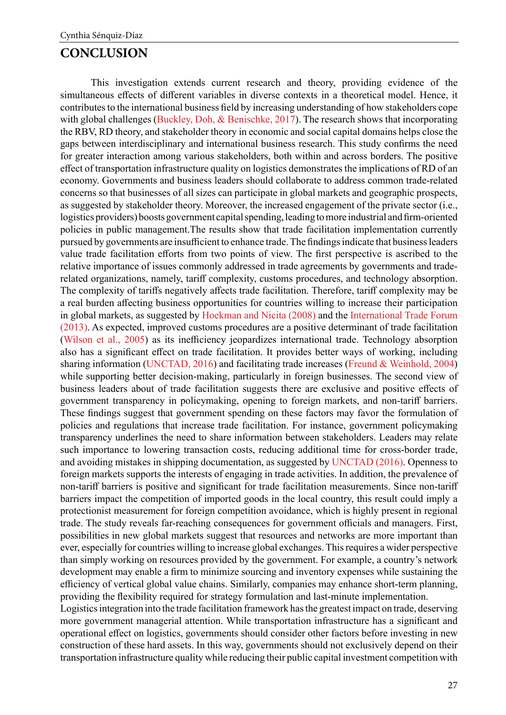## **CONCLUSION**

This investigation extends current research and theory, providing evidence of the simultaneous effects of different variables in diverse contexts in a theoretical model. Hence, it contributes to the international business field by increasing understanding of how stakeholders cope with global challenges ([Buckley, Doh, & Benischke, 2017](#page-19-0)). The research shows that incorporating the RBV, RD theory, and stakeholder theory in economic and social capital domains helps close the gaps between interdisciplinary and international business research. This study confirms the need for greater interaction among various stakeholders, both within and across borders. The positive effect of transportation infrastructure quality on logistics demonstrates the implications of RD of an economy. Governments and business leaders should collaborate to address common trade-related concerns so that businesses of all sizes can participate in global markets and geographic prospects, as suggested by stakeholder theory. Moreover, the increased engagement of the private sector (i.e., logistics providers) boosts government capital spending, leading to more industrial and firm-oriented policies in public management.The results show that trade facilitation implementation currently pursued by governments are insufficient to enhance trade. The findings indicate that business leaders value trade facilitation efforts from two points of view. The first perspective is ascribed to the relative importance of issues commonly addressed in trade agreements by governments and traderelated organizations, namely, tariff complexity, customs procedures, and technology absorption. The complexity of tariffs negatively affects trade facilitation. Therefore, tariff complexity may be a real burden affecting business opportunities for countries willing to increase their participation in global markets, as suggested by [Hoekman and Nicita \(2008\)](#page-20-0) and the [International Trade Forum](#page-20-0)  [\(2013\).](#page-20-0) As expected, improved customs procedures are a positive determinant of trade facilitation ([Wilson et al., 2005](#page-22-0)) as its inefficiency jeopardizes international trade. Technology absorption also has a significant effect on trade facilitation. It provides better ways of working, including sharing information ([UNCTAD, 2016](#page-22-0)) and facilitating trade increases ([Freund & Weinhold, 2004](#page-19-0)) while supporting better decision-making, particularly in foreign businesses. The second view of business leaders about of trade facilitation suggests there are exclusive and positive effects of government transparency in policymaking, opening to foreign markets, and non-tariff barriers. These findings suggest that government spending on these factors may favor the formulation of policies and regulations that increase trade facilitation. For instance, government policymaking transparency underlines the need to share information between stakeholders. Leaders may relate such importance to lowering transaction costs, reducing additional time for cross-border trade, and avoiding mistakes in shipping documentation, as suggested by [UNCTAD \(2016\)](#page-22-0). Openness to foreign markets supports the interests of engaging in trade activities. In addition, the prevalence of non-tariff barriers is positive and significant for trade facilitation measurements. Since non-tariff barriers impact the competition of imported goods in the local country, this result could imply a protectionist measurement for foreign competition avoidance, which is highly present in regional trade. The study reveals far-reaching consequences for government officials and managers. First, possibilities in new global markets suggest that resources and networks are more important than ever, especially for countries willing to increase global exchanges. This requires a wider perspective than simply working on resources provided by the government. For example, a country's network development may enable a firm to minimize sourcing and inventory expenses while sustaining the efficiency of vertical global value chains. Similarly, companies may enhance short-term planning, providing the flexibility required for strategy formulation and last-minute implementation.

Logistics integration into the trade facilitation framework has the greatest impact on trade, deserving more government managerial attention. While transportation infrastructure has a significant and operational effect on logistics, governments should consider other factors before investing in new construction of these hard assets. In this way, governments should not exclusively depend on their transportation infrastructure quality while reducing their public capital investment competition with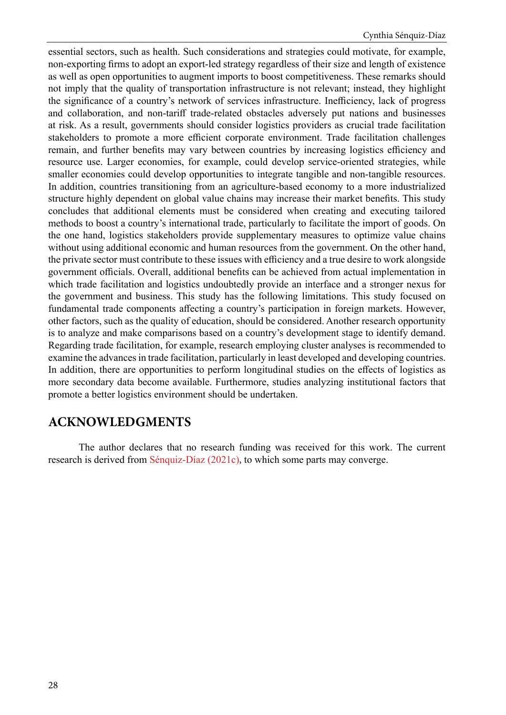essential sectors, such as health. Such considerations and strategies could motivate, for example, non-exporting firms to adopt an export-led strategy regardless of their size and length of existence as well as open opportunities to augment imports to boost competitiveness. These remarks should not imply that the quality of transportation infrastructure is not relevant; instead, they highlight the significance of a country's network of services infrastructure. Inefficiency, lack of progress and collaboration, and non-tariff trade-related obstacles adversely put nations and businesses at risk. As a result, governments should consider logistics providers as crucial trade facilitation stakeholders to promote a more efficient corporate environment. Trade facilitation challenges remain, and further benefits may vary between countries by increasing logistics efficiency and resource use. Larger economies, for example, could develop service-oriented strategies, while smaller economies could develop opportunities to integrate tangible and non-tangible resources. In addition, countries transitioning from an agriculture-based economy to a more industrialized structure highly dependent on global value chains may increase their market benefits. This study concludes that additional elements must be considered when creating and executing tailored methods to boost a country's international trade, particularly to facilitate the import of goods. On the one hand, logistics stakeholders provide supplementary measures to optimize value chains without using additional economic and human resources from the government. On the other hand, the private sector must contribute to these issues with efficiency and a true desire to work alongside government officials. Overall, additional benefits can be achieved from actual implementation in which trade facilitation and logistics undoubtedly provide an interface and a stronger nexus for the government and business. This study has the following limitations. This study focused on fundamental trade components affecting a country's participation in foreign markets. However, other factors, such as the quality of education, should be considered. Another research opportunity is to analyze and make comparisons based on a country's development stage to identify demand. Regarding trade facilitation, for example, research employing cluster analyses is recommended to examine the advances in trade facilitation, particularly in least developed and developing countries. In addition, there are opportunities to perform longitudinal studies on the effects of logistics as more secondary data become available. Furthermore, studies analyzing institutional factors that promote a better logistics environment should be undertaken.

# **ACKNOWLEDGMENTS**

The author declares that no research funding was received for this work. The current research is derived from [Sénquiz-Díaz \(2021c\)](#page-21-0), to which some parts may converge.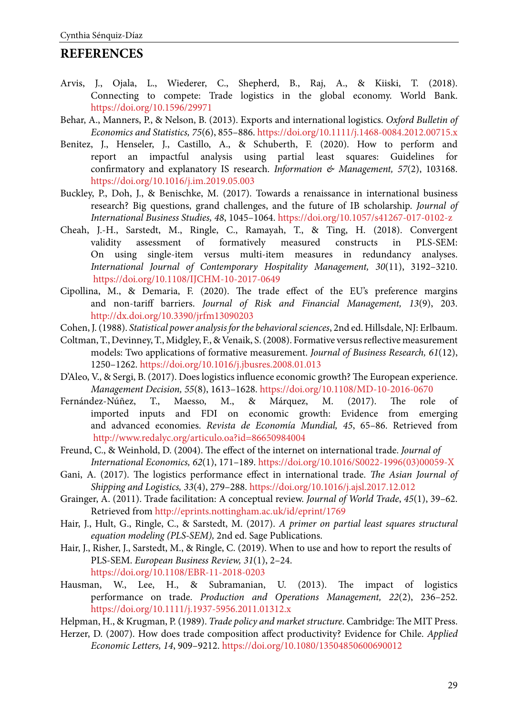# **REFERENCES**

- Arvis, J., Ojala, L., Wiederer, C., Shepherd, B., Raj, A., & Kiiski, T. (2018). Connecting to compete: Trade logistics in the global economy. World Bank. <https://doi.org/10.1596/29971>
- Behar, A., Manners, P., & Nelson, B. (2013). Exports and international logistics. *Oxford Bulletin of Economics and Statistics, 75*(6), 855–886. <https://doi.org/10.1111/j.1468-0084.2012.00715.x>
- Benitez, J., Henseler, J., Castillo, A., & Schuberth, F. (2020). How to perform and report an impactful analysis using partial least squares: Guidelines for confirmatory and explanatory IS research. *Information & Management, 57*(2), 103168. <https://doi.org/10.1016/j.im.2019.05.003>
- Buckley, P., Doh, J., & Benischke, M. (2017). Towards a renaissance in international business research? Big questions, grand challenges, and the future of IB scholarship. *Journal of International Business Studies, 48*, 1045–1064. <https://doi.org/10.1057/s41267-017-0102-z>
- Cheah, J.-H., Sarstedt, M., Ringle, C., Ramayah, T., & Ting, H. (2018). Convergent validity assessment of formatively measured constructs in PLS-SEM: On using single-item versus multi-item measures in redundancy analyses. *International Journal of Contemporary Hospitality Management, 30*(11), 3192–3210. <https://doi.org/10.1108/IJCHM-10-2017-0649>
- Cipollina, M., & Demaria, F. (2020). The trade effect of the EU's preference margins and non-tariff barriers. *Journal of Risk and Financial Management, 13*(9), 203. <http://dx.doi.org/10.3390/jrfm13090203>
- Cohen, J. (1988). *Statistical power analysis for the behavioral sciences*, 2nd ed. Hillsdale, NJ: Erlbaum.
- Coltman, T., Devinney, T., Midgley, F., & Venaik, S. (2008). Formative versus reflective measurement models: Two applications of formative measurement. *Journal of Business Research, 61*(12), 1250–1262. <https://doi.org/10.1016/j.jbusres.2008.01.013>
- D'Aleo, V., & Sergi, B. (2017). Does logistics influence economic growth? The European experience. *Management Decision, 55*(8), 1613–1628. <https://doi.org/10.1108/MD-10-2016-0670>
- Fernández-Núñez, T., Maesso, M., & Márquez, M. (2017). The role of imported inputs and FDI on economic growth: Evidence from emerging and advanced economies. *Revista de Economía Mundial, 45*, 65–86. Retrieved from <http://www.redalyc.org/articulo.oa?id=86650984004>
- Freund, C., & Weinhold, D. (2004). The effect of the internet on international trade. *Journal of International Economics, 62*(1), 171–189. [https://doi.org/10.1016/S0022-1996\(03\)00059-X](https://doi.org/10.1016/S0022-1996(03)00059-X)
- Gani, A. (2017). The logistics performance effect in international trade. *The Asian Journal of Shipping and Logistics, 33*(4), 279–288. <https://doi.org/10.1016/j.ajsl.2017.12.012>
- Grainger, A. (2011). Trade facilitation: A conceptual review. *Journal of World Trade*, *45*(1), 39–62. Retrieved from<http://eprints.nottingham.ac.uk/id/eprint/1769>
- Hair, J., Hult, G., Ringle, C., & Sarstedt, M. (2017). *A primer on partial least squares structural equation modeling (PLS-SEM),* 2nd ed. Sage Publications.
- Hair, J., Risher, J., Sarstedt, M., & Ringle, C. (2019). When to use and how to report the results of PLS-SEM. *European Business Review, 31*(1), 2–24. <https://doi.org/10.1108/EBR-11-2018-0203>
- Hausman, W., Lee, H., & Subramanian, U. (2013). The impact of logistics performance on trade. *Production and Operations Management, 22*(2), 236–252. <https://doi.org/10.1111/j.1937-5956.2011.01312.x>
- Helpman, H., & Krugman, P. (1989). *Trade policy and market structure*. Cambridge: The MIT Press.
- Herzer, D. (2007). How does trade composition affect productivity? Evidence for Chile. *Applied Economic Letters, 14*, 909–9212.<https://doi.org/10.1080/13504850600690012>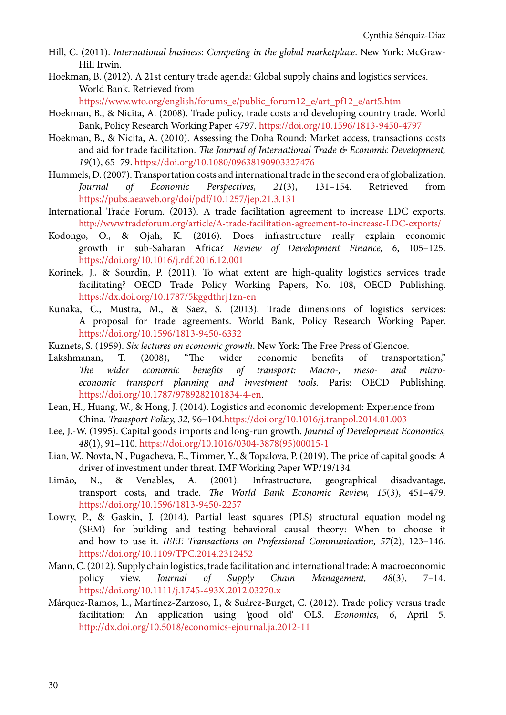- <span id="page-19-0"></span>Hill, C. (2011). *International business: Competing in the global marketplace*. New York: McGraw-Hill Irwin.
- Hoekman, B. (2012). A 21st century trade agenda: Global supply chains and logistics services. World Bank. Retrieved from

[https://www.wto.org/english/forums\\_e/public\\_forum12\\_e/art\\_pf12\\_e/art5.htm](https://www.wto.org/english/forums_e/public_forum12_e/art_pf12_e/art5.htm)

- Hoekman, B., & Nicita, A. (2008). Trade policy, trade costs and developing country trade. World Bank, Policy Research Working Paper 4797. <https://doi.org/10.1596/1813-9450-4797>
- Hoekman, B., & Nicita, A. (2010). Assessing the Doha Round: Market access, transactions costs and aid for trade facilitation. *The Journal of International Trade & Economic Development, 19*(1), 65–79.<https://doi.org/10.1080/09638190903327476>
- Hummels, D. (2007). Transportation costs and international trade in the second era of globalization. *Journal of Economic Perspectives, 21*(3), 131–154. Retrieved from <https://pubs.aeaweb.org/doi/pdf/10.1257/jep.21.3.131>
- International Trade Forum. (2013). A trade facilitation agreement to increase LDC exports. <http://www.tradeforum.org/article/A-trade-facilitation-agreement-to-increase-LDC-exports/>
- Kodongo, O., & Ojah, K. (2016). Does infrastructure really explain economic growth in sub-Saharan Africa? *Review of Development Finance, 6*, 105–125. <https://doi.org/10.1016/j.rdf.2016.12.001>
- Korinek, J., & Sourdin, P. (2011). To what extent are high-quality logistics services trade facilitating? OECD Trade Policy Working Papers, No. 108, OECD Publishing. <https://dx.doi.org/10.1787/5kggdthrj1zn-en>
- Kunaka, C., Mustra, M., & Saez, S. (2013). Trade dimensions of logistics services: A proposal for trade agreements. World Bank, Policy Research Working Paper. <https://doi.org/10.1596/1813-9450-6332>
- Kuznets, S. (1959). *Six lectures on economic growth*. New York: The Free Press of Glencoe.
- Lakshmanan, T. (2008), "The wider economic benefits of transportation," *The wider economic benefits of transport: Macro-, meso- and microeconomic transport planning and investment tools.* Paris: OECD Publishing. [https://doi.org/10.1787/9789282101834-4-en.](https://doi.org/10.1787/9789282101834-4-en)
- Lean, H., Huang, W., & Hong, J. (2014). Logistics and economic development: Experience from China. *Transport Policy, 32*, 96–104.<https://doi.org/10.1016/j.tranpol.2014.01.003>
- Lee, J.-W. (1995). Capital goods imports and long-run growth. *Journal of Development Economics, 48*(1), 91–110. [https://doi.org/10.1016/0304-3878\(95\)00015-1](https://doi.org/10.1016/0304-3878(95)00015-1)
- Lian, W., Novta, N., Pugacheva, E., Timmer, Y., & Topalova, P. (2019). The price of capital goods: A driver of investment under threat. IMF Working Paper WP/19/134.
- Limão, N., & Venables, A. (2001). Infrastructure, geographical disadvantage, transport costs, and trade. *The World Bank Economic Review, 15*(3), 451–479. <https://doi.org/10.1596/1813-9450-2257>
- Lowry, P., & Gaskin, J. (2014). Partial least squares (PLS) structural equation modeling (SEM) for building and testing behavioral causal theory: When to choose it and how to use it. *IEEE Transactions on Professional Communication, 57*(2), 123–146. <https://doi.org/10.1109/TPC.2014.2312452>
- Mann, C. (2012). Supply chain logistics, trade facilitation and international trade: A macroeconomic policy view. *Journal of Supply Chain Management, 48*(3), 7–14. <https://doi.org/10.1111/j.1745-493X.2012.03270.x>
- Márquez-Ramos, L., Martínez-Zarzoso, I., & Suárez-Burget, C. (2012). Trade policy versus trade facilitation: An application using 'good old' OLS. *Economics, 6*, April 5. <http://dx.doi.org/10.5018/economics-ejournal.ja.2012-11>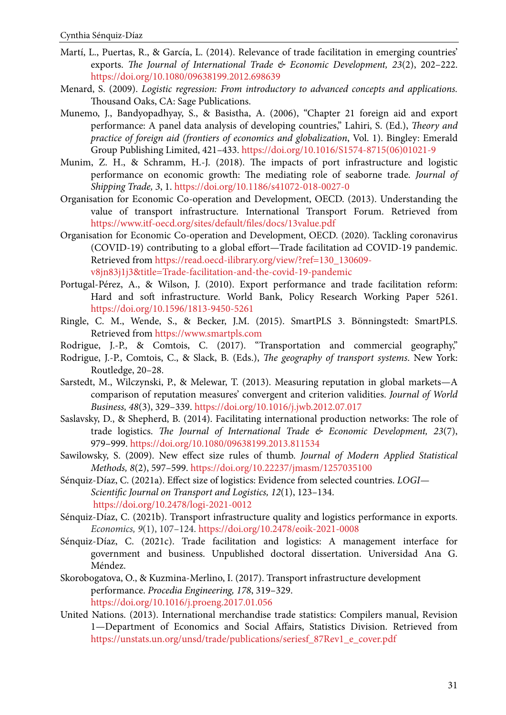- <span id="page-20-0"></span>Martí, L., Puertas, R., & García, L. (2014). Relevance of trade facilitation in emerging countries' exports. *The Journal of International Trade & Economic Development, 23*(2), 202–222. <https://doi.org/10.1080/09638199.2012.698639>
- Menard, S. (2009). *Logistic regression: From introductory to advanced concepts and applications.* Thousand Oaks, CA: Sage Publications.
- Munemo, J., Bandyopadhyay, S., & Basistha, A. (2006), "Chapter 21 foreign aid and export performance: A panel data analysis of developing countries," Lahiri, S. (Ed.), *Theory and practice of foreign aid (frontiers of economics and globalization*, Vol. 1). Bingley: Emerald Group Publishing Limited, 421–433. [https://doi.org/10.1016/S1574-8715\(06\)01021-9](https://doi.org/10.1016/S1574-8715(06)01021-9)
- Munim, Z. H., & Schramm, H.-J. (2018). The impacts of port infrastructure and logistic performance on economic growth: The mediating role of seaborne trade. *Journal of Shipping Trade, 3*, 1.<https://doi.org/10.1186/s41072-018-0027-0>
- Organisation for Economic Co-operation and Development, OECD. (2013). Understanding the value of transport infrastructure. International Transport Forum. Retrieved from <https://www.itf-oecd.org/sites/default/files/docs/13value.pdf>
- Organisation for Economic Co-operation and Development, OECD. (2020). Tackling coronavirus (COVID-19) contributing to a global effort—Trade facilitation ad COVID-19 pandemic. Retrieved from [https://read.oecd-ilibrary.org/view/?ref=130\\_130609](https://read.oecd-ilibrary.org/view/?ref=130_130609-v8jn83j1j3&title=Trade-facilitation-and-the-covid-19-pandemic) [v8jn83j1j3&title=Trade-facilitation-and-the-covid-19-pandemic](https://read.oecd-ilibrary.org/view/?ref=130_130609-v8jn83j1j3&title=Trade-facilitation-and-the-covid-19-pandemic)
- Portugal-Pérez, A., & Wilson, J. (2010). Export performance and trade facilitation reform: Hard and soft infrastructure. World Bank, Policy Research Working Paper 5261. <https://doi.org/10.1596/1813-9450-5261>
- Ringle, C. M., Wende, S., & Becker, J.M. (2015). SmartPLS 3. Bönningstedt: SmartPLS. Retrieved from<https://www.smartpls.com>
- Rodrigue, J.-P., & Comtois, C. (2017). "Transportation and commercial geography,"
- Rodrigue, J.-P., Comtois, C., & Slack, B. (Eds.), *The geography of transport systems*. New York: Routledge, 20–28.
- Sarstedt, M., Wilczynski, P., & Melewar, T. (2013). Measuring reputation in global markets—A comparison of reputation measures' convergent and criterion validities. *Journal of World Business, 48*(3), 329–339. <https://doi.org/10.1016/j.jwb.2012.07.017>
- Saslavsky, D., & Shepherd, B. (2014). Facilitating international production networks: The role of trade logistics. *The Journal of International Trade & Economic Development, 23*(7), 979–999.<https://doi.org/10.1080/09638199.2013.811534>
- Sawilowsky, S. (2009). New effect size rules of thumb. *Journal of Modern Applied Statistical Methods, 8*(2), 597–599.<https://doi.org/10.22237/jmasm/1257035100>
- Sénquiz-Díaz, C. (2021a). Effect size of logistics: Evidence from selected countries. *LOGI— Scientific Journal on Transport and Logistics, 12*(1), 123–134. <https://doi.org/10.2478/logi-2021-0012>
- Sénquiz-Díaz, C. (2021b). Transport infrastructure quality and logistics performance in exports. *Economics, 9*(1), 107–124. <https://doi.org/10.2478/eoik-2021-0008>
- Sénquiz-Díaz, C. (2021c). Trade facilitation and logistics: A management interface for government and business. Unpublished doctoral dissertation. Universidad Ana G. Méndez.
- Skorobogatova, O., & Kuzmina-Merlino, I. (2017). Transport infrastructure development performance. *Procedia Engineering, 178*, 319–329. <https://doi.org/10.1016/j.proeng.2017.01.056>
- United Nations. (2013). International merchandise trade statistics: Compilers manual, Revision 1—Department of Economics and Social Affairs, Statistics Division. Retrieved from [https://unstats.un.org/unsd/trade/publications/seriesf\\_87Rev1\\_e\\_cover.pdf](https://unstats.un.org/unsd/trade/publications/seriesf_87Rev1_e_cover.pdf)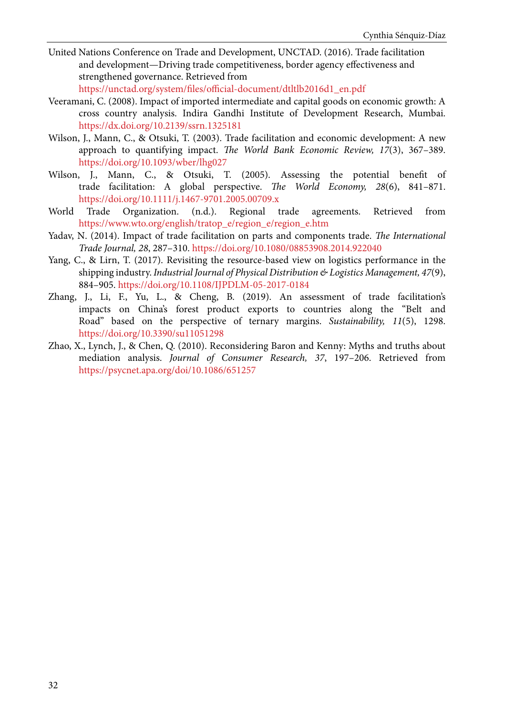<span id="page-21-0"></span>United Nations Conference on Trade and Development, UNCTAD. (2016). Trade facilitation and development—Driving trade competitiveness, border agency effectiveness and strengthened governance. Retrieved from

[https://unctad.org/system/files/official-document/dtltlb2016d1\\_en.pdf](https://unctad.org/system/files/official-document/dtltlb2016d1_en.pdf)

- Veeramani, C. (2008). Impact of imported intermediate and capital goods on economic growth: A cross country analysis. Indira Gandhi Institute of Development Research, Mumbai. <https://dx.doi.org/10.2139/ssrn.1325181>
- Wilson, J., Mann, C., & Otsuki, T. (2003). Trade facilitation and economic development: A new approach to quantifying impact. *The World Bank Economic Review, 17*(3), 367–389. <https://doi.org/10.1093/wber/lhg027>
- Wilson, J., Mann, C., & Otsuki, T. (2005). Assessing the potential benefit of trade facilitation: A global perspective. *The World Economy, 28*(6), 841–871. <https://doi.org/10.1111/j.1467-9701.2005.00709.x>
- World Trade Organization. (n.d.). Regional trade agreements. Retrieved from [https://www.wto.org/english/tratop\\_e/region\\_e/region\\_e.htm](https://www.wto.org/english/tratop_e/region_e/region_e.htm)
- Yadav, N. (2014). Impact of trade facilitation on parts and components trade. *The International Trade Journal, 28*, 287–310.<https://doi.org/10.1080/08853908.2014.922040>
- Yang, C., & Lirn, T. (2017). Revisiting the resource-based view on logistics performance in the shipping industry. *Industrial Journal of Physical Distribution & Logistics Management, 47*(9), 884–905. <https://doi.org/10.1108/IJPDLM-05-2017-0184>
- Zhang, J., Li, F., Yu, L., & Cheng, B. (2019). An assessment of trade facilitation's impacts on China's forest product exports to countries along the "Belt and Road" based on the perspective of ternary margins. *Sustainability, 11*(5), 1298. <https://doi.org/10.3390/su11051298>
- Zhao, X., Lynch, J., & Chen, Q. (2010). Reconsidering Baron and Kenny: Myths and truths about mediation analysis. *Journal of Consumer Research, 37*, 197–206. Retrieved from <https://psycnet.apa.org/doi/10.1086/651257>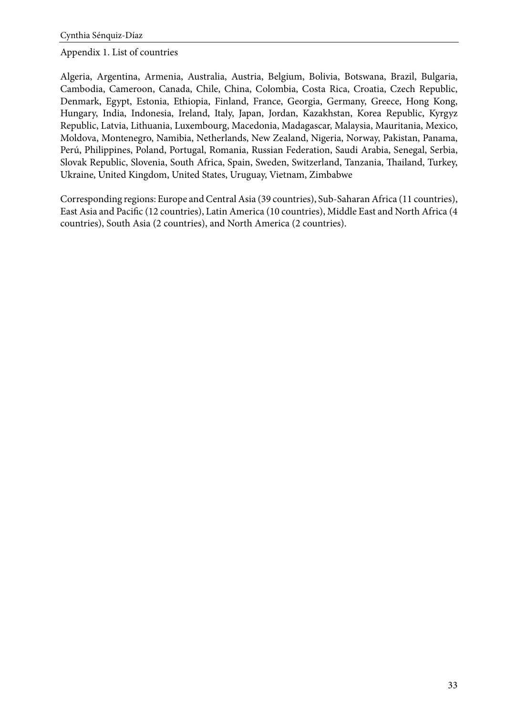### <span id="page-22-0"></span>Appendix 1. List of countries

Algeria, Argentina, Armenia, Australia, Austria, Belgium, Bolivia, Botswana, Brazil, Bulgaria, Cambodia, Cameroon, Canada, Chile, China, Colombia, Costa Rica, Croatia, Czech Republic, Denmark, Egypt, Estonia, Ethiopia, Finland, France, Georgia, Germany, Greece, Hong Kong, Hungary, India, Indonesia, Ireland, Italy, Japan, Jordan, Kazakhstan, Korea Republic, Kyrgyz Republic, Latvia, Lithuania, Luxembourg, Macedonia, Madagascar, Malaysia, Mauritania, Mexico, Moldova, Montenegro, Namibia, Netherlands, New Zealand, Nigeria, Norway, Pakistan, Panama, Perú, Philippines, Poland, Portugal, Romania, Russian Federation, Saudi Arabia, Senegal, Serbia, Slovak Republic, Slovenia, South Africa, Spain, Sweden, Switzerland, Tanzania, Thailand, Turkey, Ukraine, United Kingdom, United States, Uruguay, Vietnam, Zimbabwe

Corresponding regions: Europe and Central Asia (39 countries), Sub-Saharan Africa (11 countries), East Asia and Pacific (12 countries), Latin America (10 countries), Middle East and North Africa (4 countries), South Asia (2 countries), and North America (2 countries).